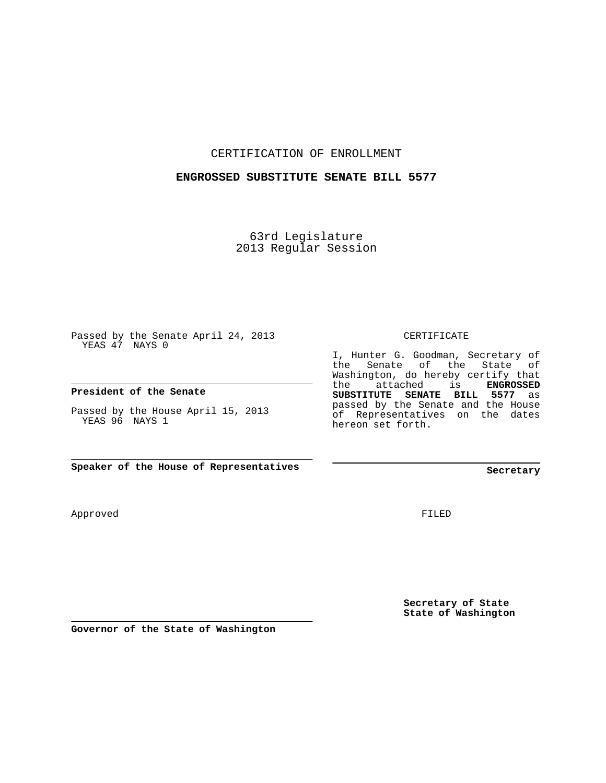CERTIFICATION OF ENROLLMENT

## **ENGROSSED SUBSTITUTE SENATE BILL 5577**

63rd Legislature 2013 Regular Session

Passed by the Senate April 24, 2013 YEAS 47 NAYS 0

**President of the Senate**

Passed by the House April 15, 2013 YEAS 96 NAYS 1

**Speaker of the House of Representatives**

Approved

**Secretary**

FILED

**Secretary of State State of Washington**

**Governor of the State of Washington**

CERTIFICATE

I, Hunter G. Goodman, Secretary of the Senate of the State of Washington, do hereby certify that the attached is **ENGROSSED SUBSTITUTE SENATE BILL 5577** as passed by the Senate and the House of Representatives on the dates hereon set forth.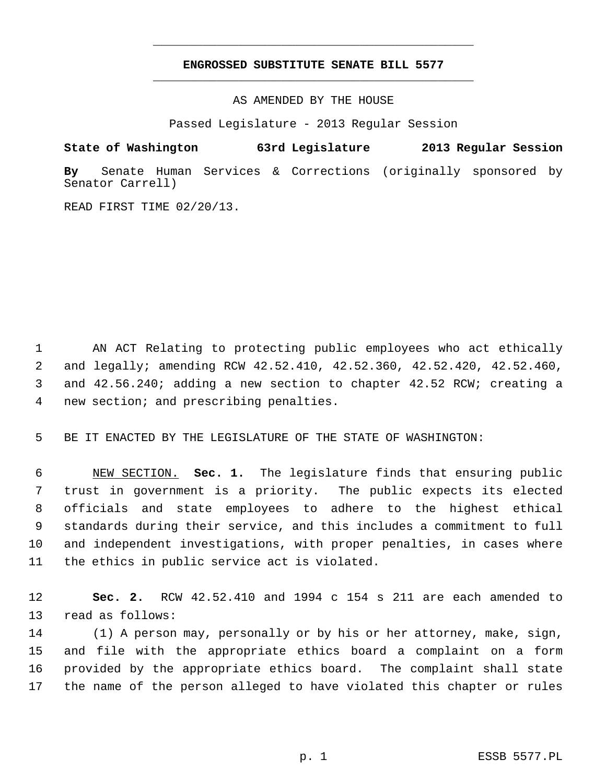## **ENGROSSED SUBSTITUTE SENATE BILL 5577** \_\_\_\_\_\_\_\_\_\_\_\_\_\_\_\_\_\_\_\_\_\_\_\_\_\_\_\_\_\_\_\_\_\_\_\_\_\_\_\_\_\_\_\_\_

\_\_\_\_\_\_\_\_\_\_\_\_\_\_\_\_\_\_\_\_\_\_\_\_\_\_\_\_\_\_\_\_\_\_\_\_\_\_\_\_\_\_\_\_\_

AS AMENDED BY THE HOUSE

Passed Legislature - 2013 Regular Session

## **State of Washington 63rd Legislature 2013 Regular Session**

**By** Senate Human Services & Corrections (originally sponsored by Senator Carrell)

READ FIRST TIME 02/20/13.

 1 AN ACT Relating to protecting public employees who act ethically 2 and legally; amending RCW 42.52.410, 42.52.360, 42.52.420, 42.52.460, 3 and 42.56.240; adding a new section to chapter 42.52 RCW; creating a 4 new section; and prescribing penalties.

5 BE IT ENACTED BY THE LEGISLATURE OF THE STATE OF WASHINGTON:

 6 NEW SECTION. **Sec. 1.** The legislature finds that ensuring public 7 trust in government is a priority. The public expects its elected 8 officials and state employees to adhere to the highest ethical 9 standards during their service, and this includes a commitment to full 10 and independent investigations, with proper penalties, in cases where 11 the ethics in public service act is violated.

12 **Sec. 2.** RCW 42.52.410 and 1994 c 154 s 211 are each amended to 13 read as follows:

14 (1) A person may, personally or by his or her attorney, make, sign, 15 and file with the appropriate ethics board a complaint on a form 16 provided by the appropriate ethics board. The complaint shall state 17 the name of the person alleged to have violated this chapter or rules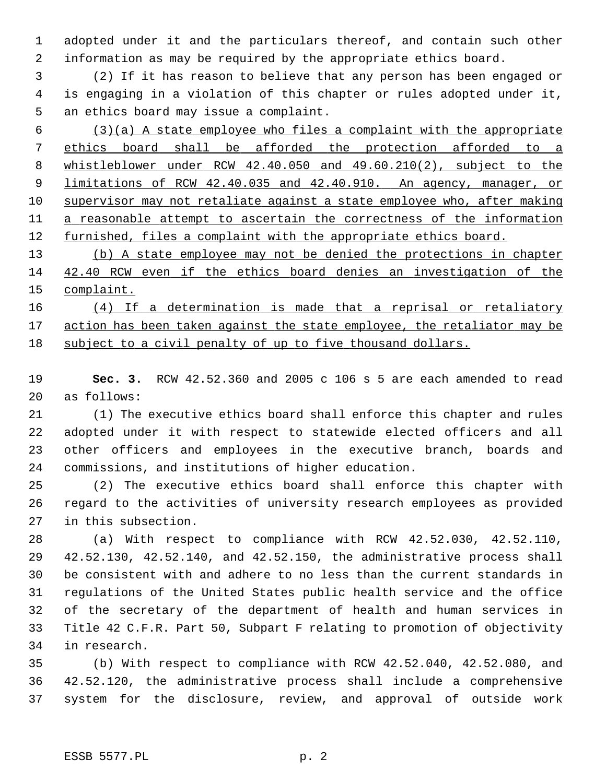1 adopted under it and the particulars thereof, and contain such other 2 information as may be required by the appropriate ethics board.

 3 (2) If it has reason to believe that any person has been engaged or 4 is engaging in a violation of this chapter or rules adopted under it, 5 an ethics board may issue a complaint.

 $(3)(a)$  A state employee who files a complaint with the appropriate ethics board shall be afforded the protection afforded to a whistleblower under RCW 42.40.050 and 49.60.210(2), subject to the limitations of RCW 42.40.035 and 42.40.910. An agency, manager, or supervisor may not retaliate against a state employee who, after making a reasonable attempt to ascertain the correctness of the information furnished, files a complaint with the appropriate ethics board.

13 (b) A state employee may not be denied the protections in chapter 14 42.40 RCW even if the ethics board denies an investigation of the 15 complaint.

16 (4) If a determination is made that a reprisal or retaliatory 17 action has been taken against the state employee, the retaliator may be 18 subject to a civil penalty of up to five thousand dollars.

19 **Sec. 3.** RCW 42.52.360 and 2005 c 106 s 5 are each amended to read 20 as follows:

21 (1) The executive ethics board shall enforce this chapter and rules 22 adopted under it with respect to statewide elected officers and all 23 other officers and employees in the executive branch, boards and 24 commissions, and institutions of higher education.

25 (2) The executive ethics board shall enforce this chapter with 26 regard to the activities of university research employees as provided 27 in this subsection.

28 (a) With respect to compliance with RCW 42.52.030, 42.52.110, 29 42.52.130, 42.52.140, and 42.52.150, the administrative process shall 30 be consistent with and adhere to no less than the current standards in 31 regulations of the United States public health service and the office 32 of the secretary of the department of health and human services in 33 Title 42 C.F.R. Part 50, Subpart F relating to promotion of objectivity 34 in research.

35 (b) With respect to compliance with RCW 42.52.040, 42.52.080, and 36 42.52.120, the administrative process shall include a comprehensive 37 system for the disclosure, review, and approval of outside work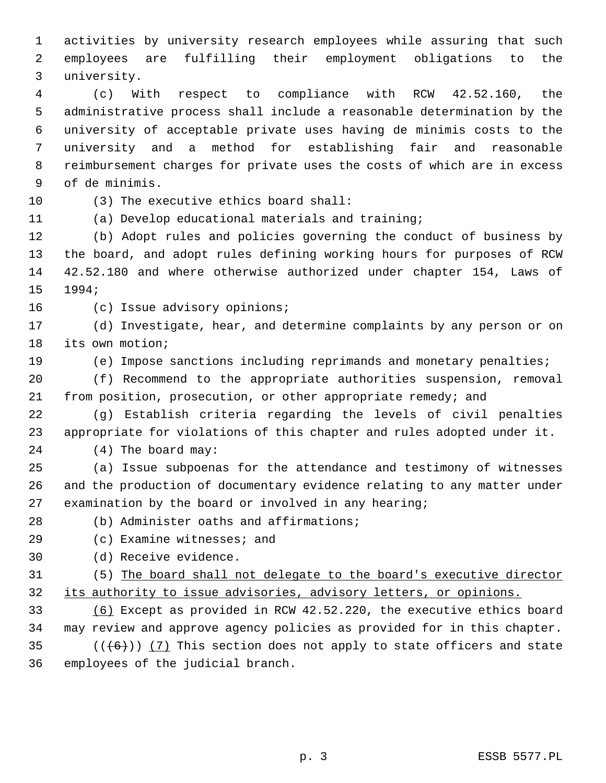1 activities by university research employees while assuring that such 2 employees are fulfilling their employment obligations to the 3 university.

 4 (c) With respect to compliance with RCW 42.52.160, the 5 administrative process shall include a reasonable determination by the 6 university of acceptable private uses having de minimis costs to the 7 university and a method for establishing fair and reasonable 8 reimbursement charges for private uses the costs of which are in excess 9 of de minimis.

10 (3) The executive ethics board shall:

11 (a) Develop educational materials and training;

12 (b) Adopt rules and policies governing the conduct of business by 13 the board, and adopt rules defining working hours for purposes of RCW 14 42.52.180 and where otherwise authorized under chapter 154, Laws of 15 1994;

16 (c) Issue advisory opinions;

17 (d) Investigate, hear, and determine complaints by any person or on 18 its own motion;

19 (e) Impose sanctions including reprimands and monetary penalties;

20 (f) Recommend to the appropriate authorities suspension, removal 21 from position, prosecution, or other appropriate remedy; and

22 (g) Establish criteria regarding the levels of civil penalties 23 appropriate for violations of this chapter and rules adopted under it.

24 (4) The board may:

25 (a) Issue subpoenas for the attendance and testimony of witnesses 26 and the production of documentary evidence relating to any matter under 27 examination by the board or involved in any hearing;

28 (b) Administer oaths and affirmations;

29 (c) Examine witnesses; and

30 (d) Receive evidence.

31 (5) The board shall not delegate to the board's executive director 32 its authority to issue advisories, advisory letters, or opinions.

33 (6) Except as provided in RCW 42.52.220, the executive ethics board 34 may review and approve agency policies as provided for in this chapter. 35  $((+6))$  (7) This section does not apply to state officers and state

36 employees of the judicial branch.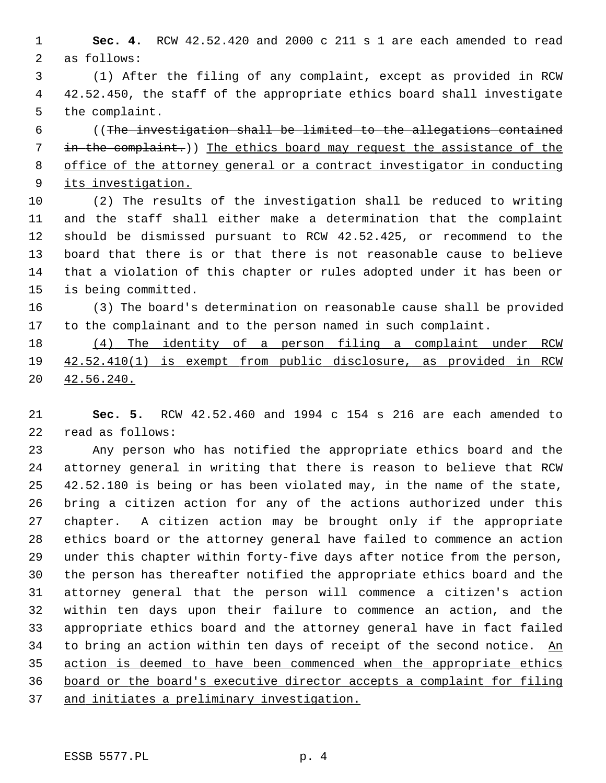1 **Sec. 4.** RCW 42.52.420 and 2000 c 211 s 1 are each amended to read 2 as follows:

 3 (1) After the filing of any complaint, except as provided in RCW 4 42.52.450, the staff of the appropriate ethics board shall investigate 5 the complaint.

 6 ((The investigation shall be limited to the allegations contained in the complaint.)) The ethics board may request the assistance of the office of the attorney general or a contract investigator in conducting its investigation.

10 (2) The results of the investigation shall be reduced to writing 11 and the staff shall either make a determination that the complaint 12 should be dismissed pursuant to RCW 42.52.425, or recommend to the 13 board that there is or that there is not reasonable cause to believe 14 that a violation of this chapter or rules adopted under it has been or 15 is being committed.

16 (3) The board's determination on reasonable cause shall be provided 17 to the complainant and to the person named in such complaint.

18 (4) The identity of a person filing a complaint under RCW 19 42.52.410(1) is exempt from public disclosure, as provided in RCW 20 42.56.240.

21 **Sec. 5.** RCW 42.52.460 and 1994 c 154 s 216 are each amended to 22 read as follows:

23 Any person who has notified the appropriate ethics board and the 24 attorney general in writing that there is reason to believe that RCW 25 42.52.180 is being or has been violated may, in the name of the state, 26 bring a citizen action for any of the actions authorized under this 27 chapter. A citizen action may be brought only if the appropriate 28 ethics board or the attorney general have failed to commence an action 29 under this chapter within forty-five days after notice from the person, 30 the person has thereafter notified the appropriate ethics board and the 31 attorney general that the person will commence a citizen's action 32 within ten days upon their failure to commence an action, and the 33 appropriate ethics board and the attorney general have in fact failed 34 to bring an action within ten days of receipt of the second notice. An 35 action is deemed to have been commenced when the appropriate ethics 36 board or the board's executive director accepts a complaint for filing 37 and initiates a preliminary investigation.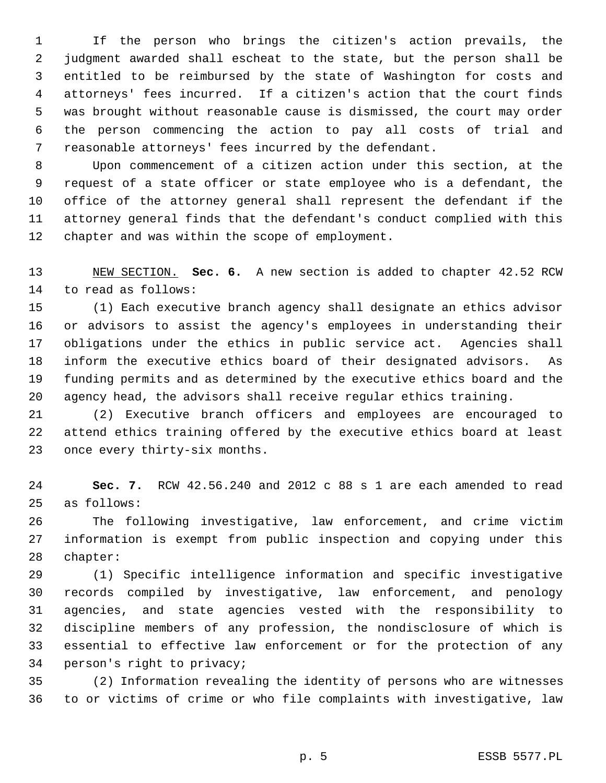1 If the person who brings the citizen's action prevails, the 2 judgment awarded shall escheat to the state, but the person shall be 3 entitled to be reimbursed by the state of Washington for costs and 4 attorneys' fees incurred. If a citizen's action that the court finds 5 was brought without reasonable cause is dismissed, the court may order 6 the person commencing the action to pay all costs of trial and 7 reasonable attorneys' fees incurred by the defendant.

 8 Upon commencement of a citizen action under this section, at the 9 request of a state officer or state employee who is a defendant, the 10 office of the attorney general shall represent the defendant if the 11 attorney general finds that the defendant's conduct complied with this 12 chapter and was within the scope of employment.

13 NEW SECTION. **Sec. 6.** A new section is added to chapter 42.52 RCW 14 to read as follows:

15 (1) Each executive branch agency shall designate an ethics advisor 16 or advisors to assist the agency's employees in understanding their 17 obligations under the ethics in public service act. Agencies shall 18 inform the executive ethics board of their designated advisors. As 19 funding permits and as determined by the executive ethics board and the 20 agency head, the advisors shall receive regular ethics training.

21 (2) Executive branch officers and employees are encouraged to 22 attend ethics training offered by the executive ethics board at least 23 once every thirty-six months.

24 **Sec. 7.** RCW 42.56.240 and 2012 c 88 s 1 are each amended to read 25 as follows:

26 The following investigative, law enforcement, and crime victim 27 information is exempt from public inspection and copying under this 28 chapter:

29 (1) Specific intelligence information and specific investigative 30 records compiled by investigative, law enforcement, and penology 31 agencies, and state agencies vested with the responsibility to 32 discipline members of any profession, the nondisclosure of which is 33 essential to effective law enforcement or for the protection of any 34 person's right to privacy;

35 (2) Information revealing the identity of persons who are witnesses 36 to or victims of crime or who file complaints with investigative, law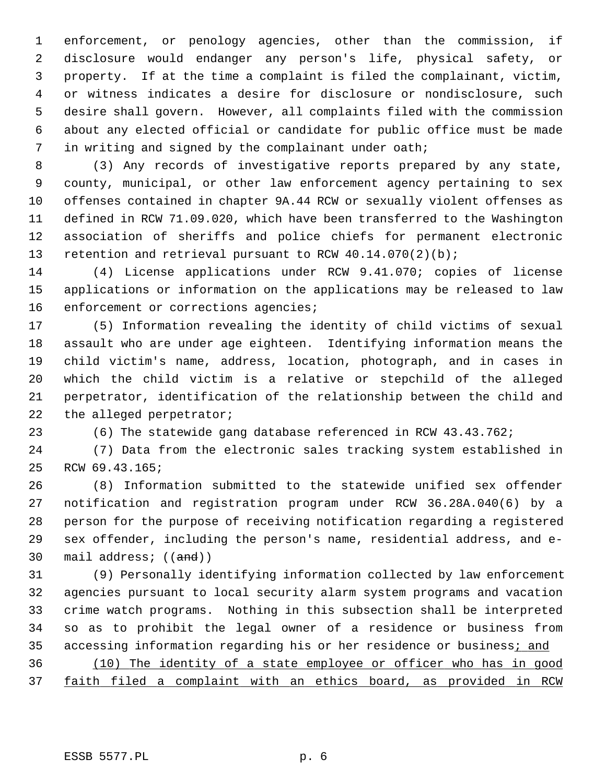1 enforcement, or penology agencies, other than the commission, if 2 disclosure would endanger any person's life, physical safety, or 3 property. If at the time a complaint is filed the complainant, victim, 4 or witness indicates a desire for disclosure or nondisclosure, such 5 desire shall govern. However, all complaints filed with the commission 6 about any elected official or candidate for public office must be made 7 in writing and signed by the complainant under oath;

 8 (3) Any records of investigative reports prepared by any state, 9 county, municipal, or other law enforcement agency pertaining to sex 10 offenses contained in chapter 9A.44 RCW or sexually violent offenses as 11 defined in RCW 71.09.020, which have been transferred to the Washington 12 association of sheriffs and police chiefs for permanent electronic 13 retention and retrieval pursuant to RCW 40.14.070(2)(b);

14 (4) License applications under RCW 9.41.070; copies of license 15 applications or information on the applications may be released to law 16 enforcement or corrections agencies;

17 (5) Information revealing the identity of child victims of sexual 18 assault who are under age eighteen. Identifying information means the 19 child victim's name, address, location, photograph, and in cases in 20 which the child victim is a relative or stepchild of the alleged 21 perpetrator, identification of the relationship between the child and 22 the alleged perpetrator;

23 (6) The statewide gang database referenced in RCW 43.43.762;

24 (7) Data from the electronic sales tracking system established in 25 RCW 69.43.165;

26 (8) Information submitted to the statewide unified sex offender 27 notification and registration program under RCW 36.28A.040(6) by a 28 person for the purpose of receiving notification regarding a registered 29 sex offender, including the person's name, residential address, and e-30 mail address; ((and))

31 (9) Personally identifying information collected by law enforcement 32 agencies pursuant to local security alarm system programs and vacation 33 crime watch programs. Nothing in this subsection shall be interpreted 34 so as to prohibit the legal owner of a residence or business from 35 accessing information regarding his or her residence or business; and

36 (10) The identity of a state employee or officer who has in good 37 faith filed a complaint with an ethics board, as provided in RCW